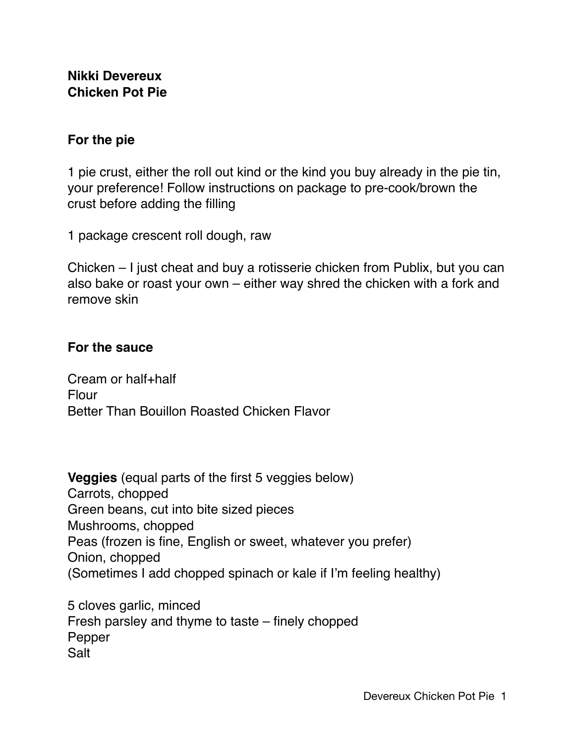## **Nikki Devereux Chicken Pot Pie**

## **For the pie**

1 pie crust, either the roll out kind or the kind you buy already in the pie tin, your preference! Follow instructions on package to pre-cook/brown the crust before adding the filling

1 package crescent roll dough, raw

Chicken – I just cheat and buy a rotisserie chicken from Publix, but you can also bake or roast your own – either way shred the chicken with a fork and remove skin

## **For the sauce**

Cream or half+half Flour Better Than Bouillon Roasted Chicken Flavor

**Veggies** (equal parts of the first 5 veggies below) Carrots, chopped Green beans, cut into bite sized pieces Mushrooms, chopped Peas (frozen is fine, English or sweet, whatever you prefer) Onion, chopped (Sometimes I add chopped spinach or kale if I'm feeling healthy)

5 cloves garlic, minced Fresh parsley and thyme to taste – finely chopped Pepper Salt